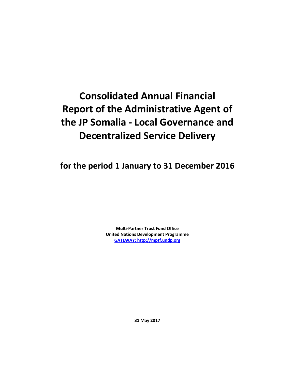# **Consolidated Annual Financial Report of the Administrative Agent of the JP Somalia - Local Governance and Decentralized Service Delivery**

**for the period 1 January to 31 December 2016**

**Multi-Partner Trust Fund Office United Nations Development Programme [GATEWAY: http://mptf.undp.org](http://mptf.undp.org/)**

**31 May 2017**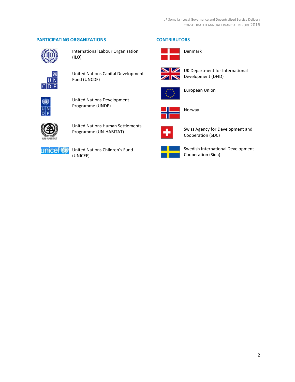# **PARTICIPATING ORGANIZATIONS CONTRIBUTORS**



International Labour Organization (ILO)



United Nations Capital Development Fund (UNCDF)



United Nations Development Programme (UNDP)



United Nations Human Settlements Programme (UN-HABITAT)



United Nations Children's Fund (UNICEF)





Denmark



UK Department for International Development (DFID)



European Union



Norway



Swiss Agency for Development and Cooperation (SDC)



Swedish International Development Cooperation (Sida)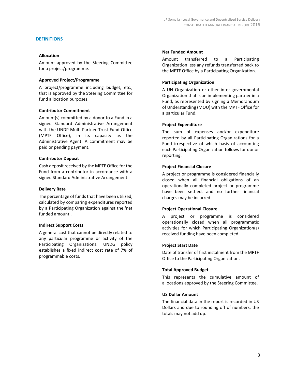### **DEFINITIONS**

### **Allocation**

Amount approved by the Steering Committee for a project/programme.

#### **Approved Project/Programme**

A project/programme including budget, etc., that is approved by the Steering Committee for fund allocation purposes.

#### **Contributor Commitment**

Amount(s) committed by a donor to a Fund in a signed Standard Administrative Arrangement with the UNDP Multi-Partner Trust Fund Office (MPTF Office), in its capacity as the Administrative Agent. A commitment may be paid or pending payment.

#### **Contributor Deposit**

Cash deposit received by the MPTF Office for the Fund from a contributor in accordance with a signed Standard Administrative Arrangement.

#### **Delivery Rate**

The percentage of funds that have been utilized, calculated by comparing expenditures reported by a Participating Organization against the 'net funded amount'.

#### **Indirect Support Costs**

A general cost that cannot be directly related to any particular programme or activity of the Participating Organizations. UNDG policy establishes a fixed indirect cost rate of 7% of programmable costs.

#### **Net Funded Amount**

Amount transferred to a Participating Organization less any refunds transferred back to the MPTF Office by a Participating Organization.

#### **Participating Organization**

A UN Organization or other inter-governmental Organization that is an implementing partner in a Fund, as represented by signing a Memorandum of Understanding (MOU) with the MPTF Office for a particular Fund.

#### **Project Expenditure**

The sum of expenses and/or expenditure reported by all Participating Organizations for a Fund irrespective of which basis of accounting each Participating Organization follows for donor reporting.

#### **Project Financial Closure**

A project or programme is considered financially closed when all financial obligations of an operationally completed project or programme have been settled, and no further financial charges may be incurred.

#### **Project Operational Closure**

A project or programme is considered operationally closed when all programmatic activities for which Participating Organization(s) received funding have been completed.

#### **Project Start Date**

Date of transfer of first instalment from the MPTF Office to the Participating Organization.

#### **Total Approved Budget**

This represents the cumulative amount of allocations approved by the Steering Committee.

#### **US Dollar Amount**

The financial data in the report is recorded in US Dollars and due to rounding off of numbers, the totals may not add up.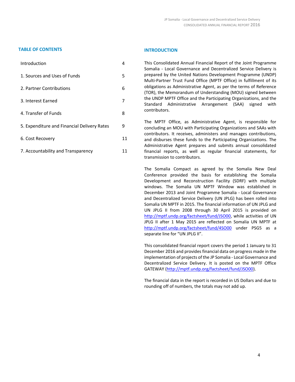### **TABLE OF CONTENTS INTRODUCTION**

| Introduction                                | 4  |
|---------------------------------------------|----|
| 1. Sources and Uses of Funds                | 5  |
| 2. Partner Contributions                    | 6  |
| 3. Interest Earned                          | 7  |
| 4. Transfer of Funds                        | 8  |
| 5. Expenditure and Financial Delivery Rates | 9  |
| 6. Cost Recovery                            | 11 |
| 7. Accountability and Transparency          | 11 |

This Consolidated Annual Financial Report of the Joint Programme Somalia - Local Governance and Decentralized Service Delivery is prepared by the United Nations Development Programme (UNDP) Multi-Partner Trust Fund Office (MPTF Office) in fulfillment of its obligations as Administrative Agent, as per the terms of Reference (TOR), the Memorandum of Understanding (MOU) signed between the UNDP MPTF Office and the Participating Organizations, and the Standard Administrative Arrangement (SAA) signed with contributors.

The MPTF Office, as Administrative Agent, is responsible for concluding an MOU with Participating Organizations and SAAs with contributors. It receives, administers and manages contributions, and disburses these funds to the Participating Organizations. The Administrative Agent prepares and submits annual consolidated financial reports, as well as regular financial statements, for transmission to contributors.

The Somalia Compact as agreed by the Somalia New Deal Conference provided the basis for establishing the Somalia Development and Reconstruction Facility (SDRF) with multiple windows. The Somalia UN MPTF Window was established in December 2013 and Joint Programme Somalia - Local Governance and Decentralized Service Delivery (UN JPLG) has been rolled into Somalia UN MPTF in 2015. The financial information of UN JPLG and UN JPLG II from 2008 through 30 April 2015 is provided on [http://mptf.undp.org/factsheet/fund/JSO00,](http://mptf.undp.org/factsheet/fund/JSO00) while activities of UN JPLG II after 1 May 2015 are reflected on Somalia UN MPTF at <http://mptf.undp.org/factsheet/fund/4SO00> under PSG5 as a separate line for "UN JPLG II".

This consolidated financial report covers the period 1 January to 31 December 2016 and provides financial data on progress made in the implementation of projects of the JP Somalia - Local Governance and Decentralized Service Delivery. It is posted on the MPTF Office GATEWAY [\(http://mptf.undp.org/factsheet/fund/JSO00\)](http://mptf.undp.org/factsheet/fund/JSO00).

The financial data in the report is recorded in US Dollars and due to rounding off of numbers, the totals may not add up.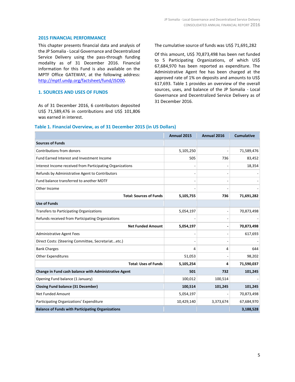#### **2015 FINANCIAL PERFORMANCE**

This chapter presents financial data and analysis of the JP Somalia - Local Governance and Decentralized Service Delivery using the pass-through funding modality as of 31 December 2016. Financial information for this Fund is also available on the MPTF Office GATEWAY, at the following address: [http://mptf.undp.org/factsheet/fund/JSO00.](http://mptf.undp.org/factsheet/fund/JSO00)

#### **1. SOURCES AND USES OF FUNDS**

As of 31 December 2016, 6 contributors deposited US\$ 71,589,476 in contributions and US\$ 101,806 was earned in interest.

The cumulative source of funds was US\$ 71,691,282

Of this amount, US\$ 70,873,498 has been net funded to 5 Participating Organizations, of which US\$ 67,684,970 has been reported as expenditure. The Administrative Agent fee has been charged at the approved rate of 1% on deposits and amounts to US\$ 617,693. Table 1 provides an overview of the overall sources, uses, and balance of the JP Somalia - Local Governance and Decentralized Service Delivery as of 31 December 2016.

#### **Table 1. Financial Overview, as of 31 December 2015 (in US Dollars)**

|                                                           | Annual 2015 | Annual 2016 | <b>Cumulative</b> |
|-----------------------------------------------------------|-------------|-------------|-------------------|
| <b>Sources of Funds</b>                                   |             |             |                   |
| Contributions from donors                                 | 5,105,250   |             | 71,589,476        |
| Fund Earned Interest and Investment Income                | 505         | 736         | 83,452            |
| Interest Income received from Participating Organizations |             |             | 18,354            |
| Refunds by Administrative Agent to Contributors           |             |             |                   |
| Fund balance transferred to another MDTF                  |             |             |                   |
| Other Income                                              |             |             |                   |
| <b>Total: Sources of Funds</b>                            | 5,105,755   | 736         | 71,691,282        |
| <b>Use of Funds</b>                                       |             |             |                   |
| Transfers to Participating Organizations                  | 5,054,197   |             | 70,873,498        |
| Refunds received from Participating Organizations         |             |             |                   |
| <b>Net Funded Amount</b>                                  | 5,054,197   |             | 70,873,498        |
| <b>Administrative Agent Fees</b>                          |             |             | 617,693           |
| Direct Costs: (Steering Committee, Secretariatetc.)       |             |             |                   |
| <b>Bank Charges</b>                                       | 4           | 4           | 644               |
| <b>Other Expenditures</b>                                 | 51,053      |             | 98,202            |
| <b>Total: Uses of Funds</b>                               | 5,105,254   | 4           | 71,590,037        |
| Change in Fund cash balance with Administrative Agent     | 501         | 732         | 101,245           |
| Opening Fund balance (1 January)                          | 100,012     | 100,514     |                   |
| <b>Closing Fund balance (31 December)</b>                 | 100,514     | 101,245     | 101,245           |
| <b>Net Funded Amount</b>                                  | 5,054,197   |             | 70,873,498        |
| Participating Organizations' Expenditure                  | 10,429,140  | 3,373,674   | 67,684,970        |
| <b>Balance of Funds with Participating Organizations</b>  |             |             | 3,188,528         |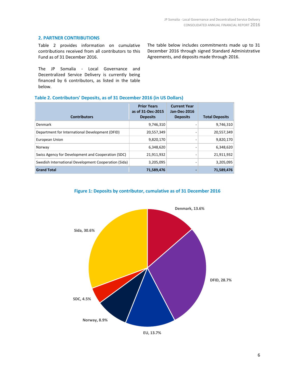# **2. PARTNER CONTRIBUTIONS**

Table 2 provides information on cumulative contributions received from all contributors to this Fund as of 31 December 2016.

The JP Somalia - Local Governance and Decentralized Service Delivery is currently being financed by 6 contributors, as listed in the table below.

The table below includes commitments made up to 31 December 2016 through signed Standard Administrative Agreements, and deposits made through 2016.

| <b>Contributors</b>                                  | <b>Prior Years</b><br>as of 31-Dec-2015<br><b>Deposits</b> | <b>Current Year</b><br>Jan-Dec-2016<br><b>Deposits</b> | <b>Total Deposits</b> |
|------------------------------------------------------|------------------------------------------------------------|--------------------------------------------------------|-----------------------|
| Denmark                                              | 9,746,310                                                  |                                                        | 9,746,310             |
| Department for International Development (DFID)      | 20,557,349                                                 |                                                        | 20,557,349            |
| European Union                                       | 9,820,170                                                  |                                                        | 9,820,170             |
| Norway                                               | 6,348,620                                                  |                                                        | 6,348,620             |
| Swiss Agency for Development and Cooperation (SDC)   | 21,911,932                                                 |                                                        | 21,911,932            |
| Swedish International Development Cooperation (Sida) | 3,205,095                                                  |                                                        | 3,205,095             |
| <b>Grand Total</b>                                   | 71,589,476                                                 |                                                        | 71,589,476            |

# **Table 2. Contributors' Deposits, as of 31 December 2016 (in US Dollars)**





**EU, 13.7%**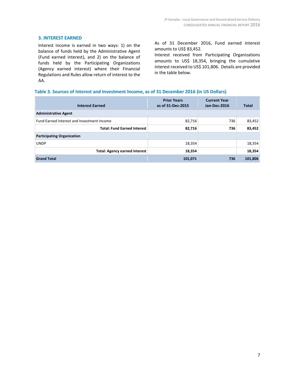# **3. INTEREST EARNED**

Interest income is earned in two ways: 1) on the balance of funds held by the Administrative Agent (Fund earned interest), and 2) on the balance of funds held by the Participating Organizations (Agency earned interest) where their Financial Regulations and Rules allow return of interest to the AA.

As of 31 December 2016, Fund earned interest amounts to US\$ 83,452.

Interest received from Participating Organizations amounts to US\$ 18,354, bringing the cumulative interest received to US\$ 101,806. Details are provided in the table below.

#### **Table 3. Sources of Interest and Investment Income, as of 31 December 2016 (in US Dollars)**

| <b>Interest Earned</b>                     | <b>Prior Years</b><br>as of 31-Dec-2015 | <b>Current Year</b><br>Jan-Dec-2016 | Total   |
|--------------------------------------------|-----------------------------------------|-------------------------------------|---------|
| <b>Administrative Agent</b>                |                                         |                                     |         |
| Fund Earned Interest and Investment Income | 82,716                                  | 736                                 | 83,452  |
| <b>Total: Fund Earned Interest</b>         | 82,716                                  | 736                                 | 83,452  |
| <b>Participating Organization</b>          |                                         |                                     |         |
| <b>UNDP</b>                                | 18,354                                  |                                     | 18,354  |
| <b>Total: Agency earned interest</b>       | 18,354                                  |                                     | 18,354  |
| <b>Grand Total</b>                         | 101,071                                 | 736                                 | 101,806 |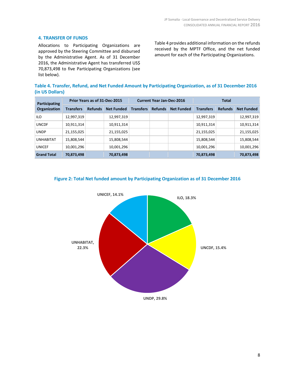# **4. TRANSFER OF FUNDS**

Allocations to Participating Organizations are approved by the Steering Committee and disbursed by the Administrative Agent. As of 31 December 2016, the Administrative Agent has transferred US\$ 70,873,498 to five Participating Organizations (see list below).

Table 4 provides additional information on the refunds received by the MPTF Office, and the net funded amount for each of the Participating Organizations.

**Table 4. Transfer, Refund, and Net Funded Amount by Participating Organization, as of 31 December 2016 (in US Dollars)**

| Participating<br><b>Organization</b> | Prior Years as of 31-Dec-2015 |                |                   | <b>Current Year Jan-Dec-2016</b> |                |                   | <b>Total</b>     |                |                   |
|--------------------------------------|-------------------------------|----------------|-------------------|----------------------------------|----------------|-------------------|------------------|----------------|-------------------|
|                                      | <b>Transfers</b>              | <b>Refunds</b> | <b>Net Funded</b> | <b>Transfers</b>                 | <b>Refunds</b> | <b>Net Funded</b> | <b>Transfers</b> | <b>Refunds</b> | <b>Net Funded</b> |
| <b>ILO</b>                           | 12,997,319                    |                | 12,997,319        |                                  |                |                   | 12,997,319       |                | 12,997,319        |
| <b>UNCDF</b>                         | 10,911,314                    |                | 10,911,314        |                                  |                |                   | 10,911,314       |                | 10,911,314        |
| <b>UNDP</b>                          | 21,155,025                    |                | 21,155,025        |                                  |                |                   | 21,155,025       |                | 21,155,025        |
| <b>UNHABITAT</b>                     | 15,808,544                    |                | 15,808,544        |                                  |                |                   | 15,808,544       |                | 15,808,544        |
| <b>UNICEF</b>                        | 10,001,296                    |                | 10,001,296        |                                  |                |                   | 10,001,296       |                | 10,001,296        |
| <b>Grand Total</b>                   | 70,873,498                    |                | 70,873,498        |                                  |                |                   | 70,873,498       |                | 70,873,498        |



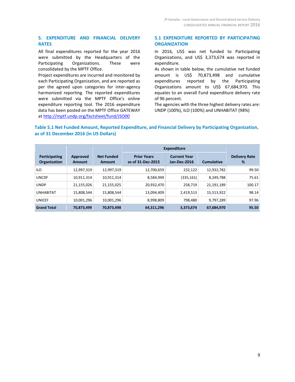# **5. EXPENDITURE AND FINANCIAL DELIVERY RATES**

All final expenditures reported for the year 2016 were submitted by the Headquarters of the Participating Organizations. These were consolidated by the MPTF Office.

Project expenditures are incurred and monitored by each Participating Organization, and are reported as per the agreed upon categories for inter-agency harmonized reporting. The reported expenditures were submitted via the MPTF Office's online expenditure reporting tool. The 2016 expenditure data has been posted on the MPTF Office GATEWAY at<http://mptf.undp.org/factsheet/fund/JSO00>

# **5.1 EXPENDITURE REPORTED BY PARTICIPATING ORGANIZATION**

In 2016, US\$ was net funded to Participating Organizations, and US\$ 3,373,674 was reported in expenditure.

As shown in table below, the cumulative net funded amount is US\$ 70,873,498 and cumulative expenditures reported by the Participating Organizations amount to US\$ 67,684,970. This equates to an overall Fund expenditure delivery rate of 96 percent.

The agencies with the three highest delivery rates are: UNDP (100%), ILO (100%) and UNHABITAT (98%)

# **Table 5.1 Net Funded Amount, Reported Expenditure, and Financial Delivery by Participating Organization, as of 31 December 2016 (in US Dollars)**

|                                      |                           |                                    | <b>Expenditure</b>                      |                                            |                   |                           |
|--------------------------------------|---------------------------|------------------------------------|-----------------------------------------|--------------------------------------------|-------------------|---------------------------|
| Participating<br><b>Organization</b> | Approved<br><b>Amount</b> | <b>Net Funded</b><br><b>Amount</b> | <b>Prior Years</b><br>as of 31-Dec-2015 | <b>Current Year</b><br><b>Jan-Dec-2016</b> | <b>Cumulative</b> | <b>Delivery Rate</b><br>% |
| <b>ILO</b>                           | 12,997,319                | 12,997,319                         | 12,700,659                              | 232,122                                    | 12,932,782        | 99.50                     |
| <b>UNCDF</b>                         | 10,911,314                | 10,911,314                         | 8,584,949                               | (335,161)                                  | 8,249,788         | 75.61                     |
| <b>UNDP</b>                          | 21,155,026                | 21,155,025                         | 20,932,470                              | 258,719                                    | 21,191,189        | 100.17                    |
| <b>UNHABITAT</b>                     | 15,808,544                | 15,808,544                         | 13,094,409                              | 2,419,513                                  | 15,513,922        | 98.14                     |
| <b>UNICEF</b>                        | 10,001,296                | 10,001,296                         | 8,998,809                               | 798.480                                    | 9,797,289         | 97.96                     |
| <b>Grand Total</b>                   | 70,873,499                | 70,873,498                         | 64,311,296                              | 3,373,674                                  | 67,684,970        | 95.50                     |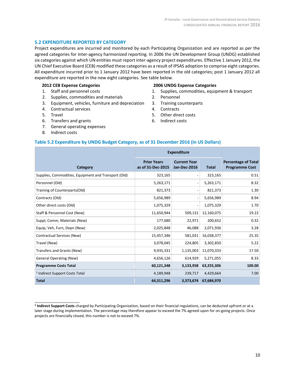# **5.2 EXPENDITURE REPORTED BY CATEGORY**

Project expenditures are incurred and monitored by each Participating Organization and are reported as per the agreed categories for inter-agency harmonized reporting. In 2006 the UN Development Group (UNDG) established six categories against which UN entities must report inter-agency project expenditures. Effective 1 January 2012, the UN Chief Executive Board (CEB) modified these categories as a result of IPSAS adoption to comprise eight categories. All expenditure incurred prior to 1 January 2012 have been reported in the old categories; post 1 January 2012 all expenditure are reported in the new eight categories. See table below.

#### **2012 CEB Expense Categories**

- 1. Staff and personnel costs
- 2. Supplies, commodities and materials
- 3. Equipment, vehicles, furniture and depreciation
- 4. Contractual services
- 5. Travel
- 6. Transfers and grants
- 7. General operating expenses
- 8. Indirect costs

\_\_\_\_\_\_\_\_\_\_\_\_\_\_\_\_\_\_\_\_\_\_

#### **2006 UNDG Expense Categories**

- 1. Supplies, commodities, equipment & transport
- 2. Personnel
- 3. Training counterparts
- 4. Contracts
- 5. Other direct costs
- 6. Indirect costs

#### **Table 5.2 Expenditure by UNDG Budget Category, as of 31 December 2016 (in US Dollars)**

|                                                      | <b>Expenditure</b>                      |                                            |              |                                                     |
|------------------------------------------------------|-----------------------------------------|--------------------------------------------|--------------|-----------------------------------------------------|
| Category                                             | <b>Prior Years</b><br>as of 31-Dec-2015 | <b>Current Year</b><br><b>Jan-Dec-2016</b> | <b>Total</b> | <b>Percentage of Total</b><br><b>Programme Cost</b> |
| Supplies, Commodities, Equipment and Transport (Old) | 323,165                                 |                                            | 323,165      | 0.51                                                |
| Personnel (Old)                                      | 5,263,171                               |                                            | 5,263,171    | 8.32                                                |
| Training of Counterparts(Old)                        | 821,373                                 |                                            | 821,373      | 1.30                                                |
| Contracts (Old)                                      | 5,656,989                               |                                            | 5,656,989    | 8.94                                                |
| Other direct costs (Old)                             | 1,075,329                               | $\qquad \qquad$                            | 1,075,329    | 1.70                                                |
| Staff & Personnel Cost (New)                         | 11,650,944                              | 509,131                                    | 12,160,075   | 19.22                                               |
| Suppl, Comm, Materials (New)                         | 177,680                                 | 22,971                                     | 200,652      | 0.32                                                |
| Equip, Veh, Furn, Depn (New)                         | 2,025,848                               | 46,088                                     | 2,071,936    | 3.28                                                |
| Contractual Services (New)                           | 15,457,346                              | 581,031                                    | 16,038,377   | 25.35                                               |
| Travel (New)                                         | 3,078,045                               | 224,805                                    | 3,302,850    | 5.22                                                |
| Transfers and Grants (New)                           | 9,935,331                               | 1,135,003                                  | 11,070,333   | 17.50                                               |
| <b>General Operating (New)</b>                       | 4,656,126                               | 614,929                                    | 5,271,055    | 8.33                                                |
| <b>Programme Costs Total</b>                         | 60,121,348                              | 3,133,958                                  | 63,255,306   | 100.00                                              |
| <sup>1</sup> Indirect Support Costs Total            | 4,189,948                               | 239,717                                    | 4,429,664    | 7.00                                                |
| <b>Total</b>                                         | 64,311,296                              | 3,373,674                                  | 67,684,970   |                                                     |

**<sup>1</sup> Indirect Support Costs** charged by Participating Organization, based on their financial regulations, can be deducted upfront or at a later stage during implementation. The percentage may therefore appear to exceed the 7% agreed-upon for on-going projects. Once projects are financially closed, this number is not to exceed 7%.